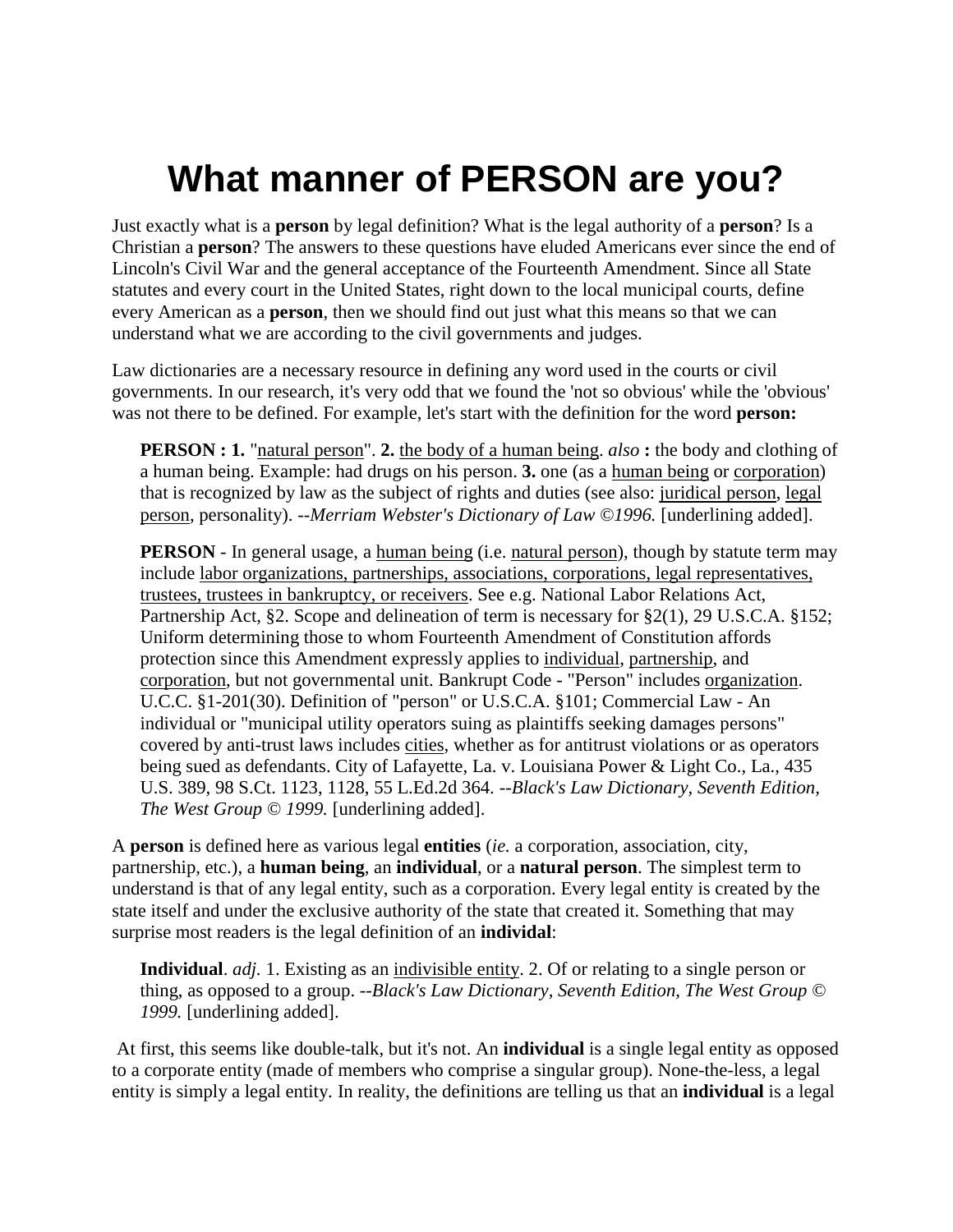## **What manner of PERSON are you?**

Just exactly what is a **person** by legal definition? What is the legal authority of a **person**? Is a Christian a **person**? The answers to these questions have eluded Americans ever since the end of Lincoln's Civil War and the general acceptance of the Fourteenth Amendment. Since all State statutes and every court in the United States, right down to the local municipal courts, define every American as a **person**, then we should find out just what this means so that we can understand what we are according to the civil governments and judges.

Law dictionaries are a necessary resource in defining any word used in the courts or civil governments. In our research, it's very odd that we found the 'not so obvious' while the 'obvious' was not there to be defined. For example, let's start with the definition for the word **person:**

**PERSON : 1.** "natural person". **2.** the body of a human being. *also* **:** the body and clothing of a human being. Example: had drugs on his person. **3.** one (as a human being or corporation) that is recognized by law as the subject of rights and duties (see also: juridical person, legal person, personality). --*Merriam Webster's Dictionary of Law ©1996.* [underlining added].

**PERSON** - In general usage, a human being (i.e. natural person), though by statute term may include labor organizations, partnerships, associations, corporations, legal representatives, trustees, trustees in bankruptcy, or receivers. See e.g. National Labor Relations Act, Partnership Act, §2. Scope and delineation of term is necessary for §2(1), 29 U.S.C.A. §152; Uniform determining those to whom Fourteenth Amendment of Constitution affords protection since this Amendment expressly applies to individual, partnership, and corporation, but not governmental unit. Bankrupt Code - "Person" includes organization. U.C.C. §1-201(30). Definition of "person" or U.S.C.A. §101; Commercial Law - An individual or "municipal utility operators suing as plaintiffs seeking damages persons" covered by anti-trust laws includes cities, whether as for antitrust violations or as operators being sued as defendants. City of Lafayette, La. v. Louisiana Power & Light Co., La., 435 U.S. 389, 98 S.Ct. 1123, 1128, 55 L.Ed.2d 364. --*Black's Law Dictionary, Seventh Edition, The West Group © 1999.* [underlining added].

A **person** is defined here as various legal **entities** (*ie.* a corporation, association, city, partnership, etc.), a **human being**, an **individual**, or a **natural person**. The simplest term to understand is that of any legal entity, such as a corporation. Every legal entity is created by the state itself and under the exclusive authority of the state that created it. Something that may surprise most readers is the legal definition of an **individal**:

**Individual**. *adj.* 1. Existing as an indivisible entity. 2. Of or relating to a single person or thing, as opposed to a group. --*Black's Law Dictionary, Seventh Edition, The West Group © 1999.* [underlining added].

 At first, this seems like double-talk, but it's not. An **individual** is a single legal entity as opposed to a corporate entity (made of members who comprise a singular group). None-the-less, a legal entity is simply a legal entity. In reality, the definitions are telling us that an **individual** is a legal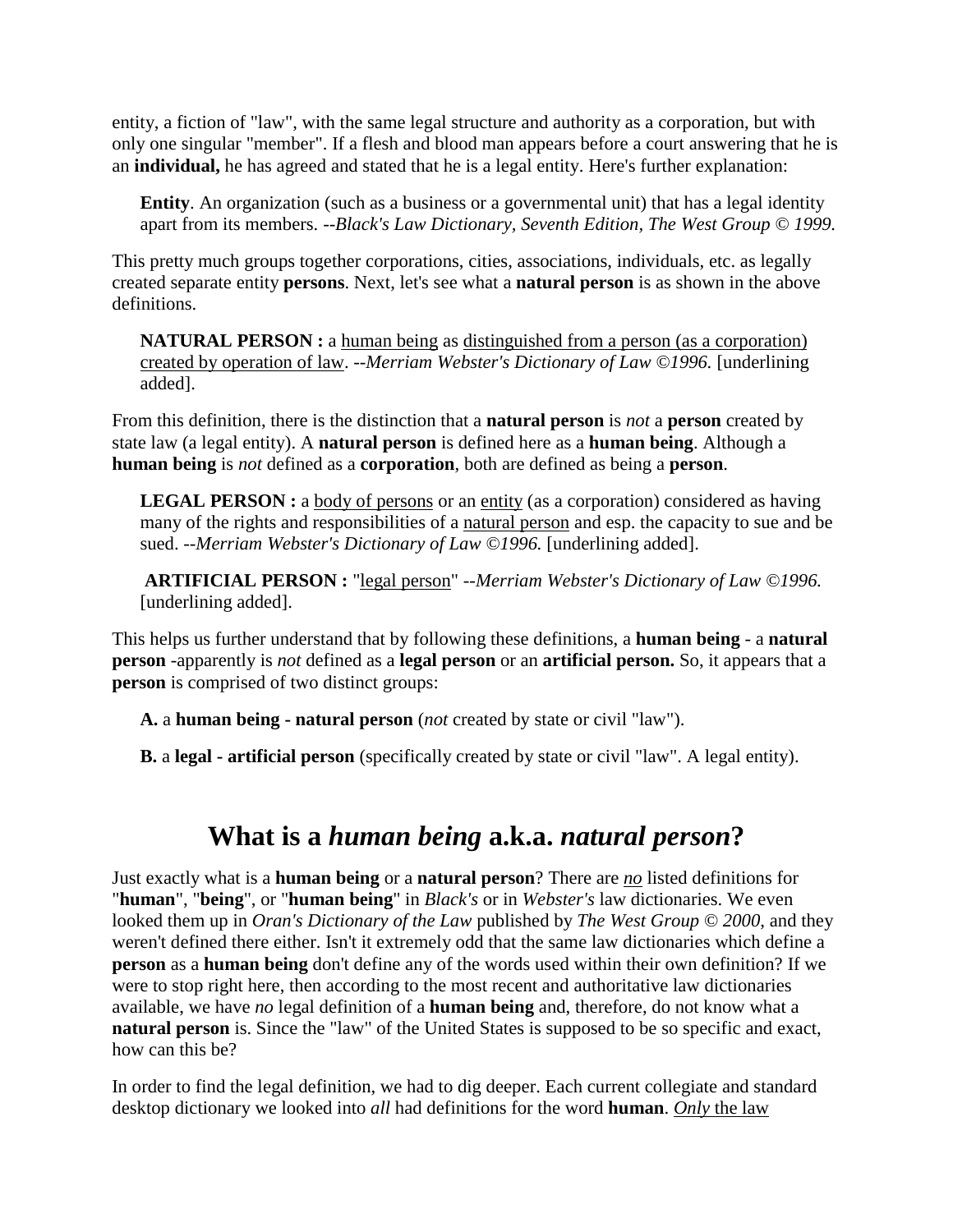entity, a fiction of "law", with the same legal structure and authority as a corporation, but with only one singular "member". If a flesh and blood man appears before a court answering that he is an **individual,** he has agreed and stated that he is a legal entity. Here's further explanation:

**Entity**. An organization (such as a business or a governmental unit) that has a legal identity apart from its members. --*Black's Law Dictionary, Seventh Edition, The West Group © 1999.*

This pretty much groups together corporations, cities, associations, individuals, etc. as legally created separate entity **persons**. Next, let's see what a **natural person** is as shown in the above definitions.

**NATURAL PERSON :** a human being as distinguished from a person (as a corporation) created by operation of law. *--Merriam Webster's Dictionary of Law ©1996.* [underlining added].

From this definition, there is the distinction that a **natural person** is *not* a **person** created by state law (a legal entity). A **natural person** is defined here as a **human being**. Although a **human being** is *not* defined as a **corporation**, both are defined as being a **person**.

**LEGAL PERSON :** a body of persons or an entity (as a corporation) considered as having many of the rights and responsibilities of a natural person and esp. the capacity to sue and be sued. --*Merriam Webster's Dictionary of Law ©1996*. [underlining added].

**ARTIFICIAL PERSON :** "legal person" *--Merriam Webster's Dictionary of Law ©1996.* [underlining added].

This helps us further understand that by following these definitions, a **human being** - a **natural person** -apparently is *not* defined as a **legal person** or an **artificial person.** So, it appears that a **person** is comprised of two distinct groups:

**A.** a **human being - natural person** (*not* created by state or civil "law").

**B.** a **legal - artificial person** (specifically created by state or civil "law". A legal entity).

## **What is a** *human being* **a.k.a.** *natural person***?**

Just exactly what is a **human being** or a **natural person**? There are *no* listed definitions for "**human**", "**being**", or "**human being**" in *Black's* or in *Webster's* law dictionaries. We even looked them up in *Oran's Dictionary of the Law* published by *The West Group © 2000*, and they weren't defined there either. Isn't it extremely odd that the same law dictionaries which define a **person** as a **human being** don't define any of the words used within their own definition? If we were to stop right here, then according to the most recent and authoritative law dictionaries available, we have *no* legal definition of a **human being** and, therefore, do not know what a **natural person** is. Since the "law" of the United States is supposed to be so specific and exact, how can this be?

In order to find the legal definition, we had to dig deeper. Each current collegiate and standard desktop dictionary we looked into *all* had definitions for the word **human**. *Only* the law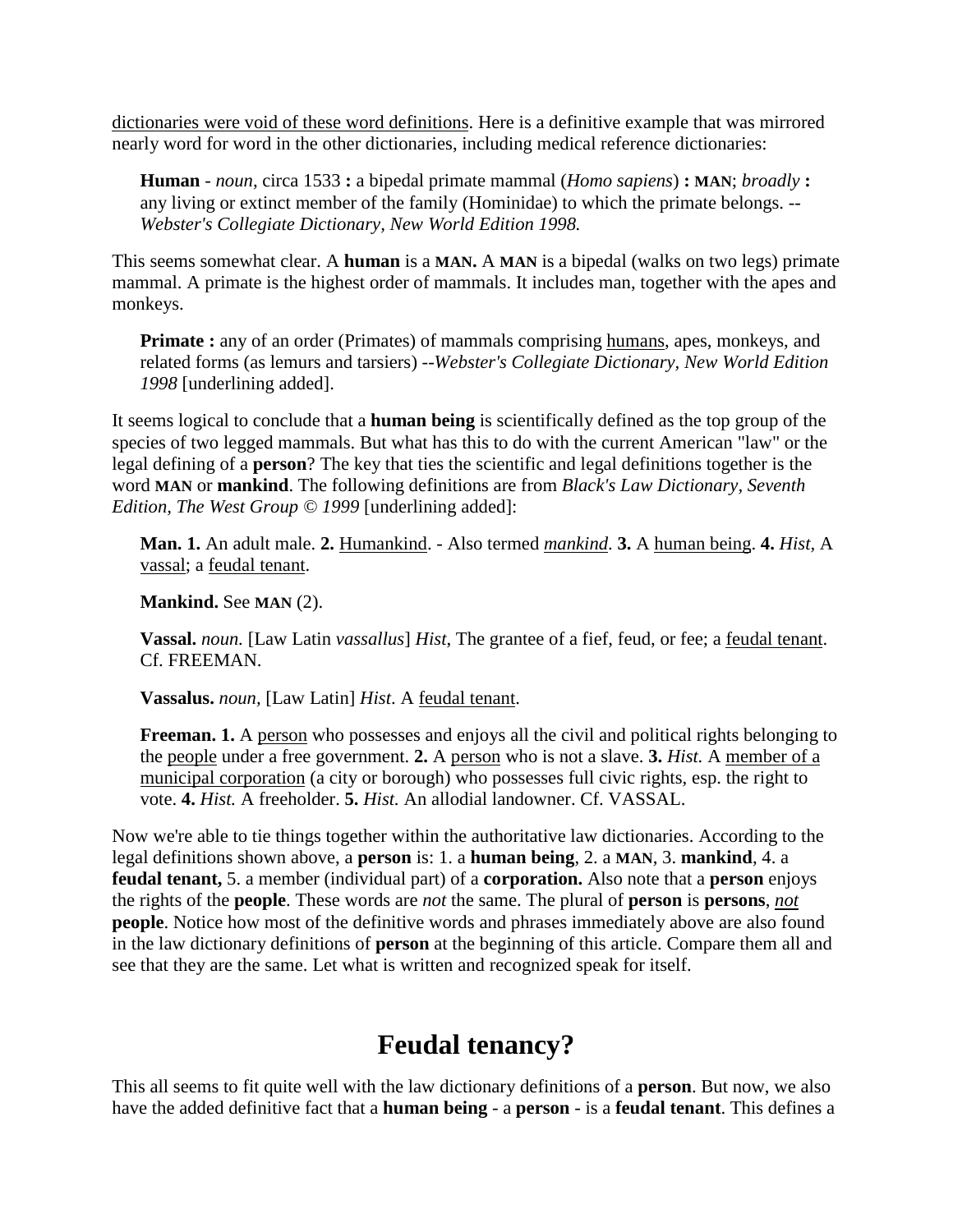dictionaries were void of these word definitions. Here is a definitive example that was mirrored nearly word for word in the other dictionaries, including medical reference dictionaries:

**Human** - *noun*, circa 1533 **:** a bipedal primate mammal (*Homo sapiens*) **: MAN**; *broadly* **:** any living or extinct member of the family (Hominidae) to which the primate belongs. *-- Webster's Collegiate Dictionary, New World Edition 1998.*

This seems somewhat clear. A **human** is a **MAN.** A **MAN** is a bipedal (walks on two legs) primate mammal. A primate is the highest order of mammals. It includes man, together with the apes and monkeys.

**Primate**: any of an order (Primates) of mammals comprising humans, apes, monkeys, and related forms (as lemurs and tarsiers) --*Webster's Collegiate Dictionary, New World Edition 1998* [underlining added].

It seems logical to conclude that a **human being** is scientifically defined as the top group of the species of two legged mammals. But what has this to do with the current American "law" or the legal defining of a **person**? The key that ties the scientific and legal definitions together is the word **MAN** or **mankind**. The following definitions are from *Black's Law Dictionary, Seventh Edition, The West Group © 1999* [underlining added]:

**Man. 1.** An adult male. **2.** Humankind. - Also termed *mankind*. **3.** A human being. **4.** *Hist,* A vassal; a feudal tenant.

**Mankind.** See **MAN** (2).

**Vassal.** *noun.* [Law Latin *vassallus*] *Hist*, The grantee of a fief, feud, or fee; a feudal tenant. Cf. FREEMAN.

**Vassalus.** *noun,* [Law Latin] *Hist*. A feudal tenant.

**Freeman. 1.** A person who possesses and enjoys all the civil and political rights belonging to the people under a free government. **2.** A person who is not a slave. **3.** *Hist.* A member of a municipal corporation (a city or borough) who possesses full civic rights, esp. the right to vote. **4.** *Hist.* A freeholder. **5.** *Hist.* An allodial landowner. Cf. VASSAL.

Now we're able to tie things together within the authoritative law dictionaries. According to the legal definitions shown above, a **person** is: 1. a **human being**, 2. a **MAN**, 3. **mankind**, 4. a **feudal tenant,** 5. a member (individual part) of a **corporation.** Also note that a **person** enjoys the rights of the **people**. These words are *not* the same. The plural of **person** is **persons**, *not* **people**. Notice how most of the definitive words and phrases immediately above are also found in the law dictionary definitions of **person** at the beginning of this article. Compare them all and see that they are the same. Let what is written and recognized speak for itself.

## **Feudal tenancy?**

This all seems to fit quite well with the law dictionary definitions of a **person**. But now, we also have the added definitive fact that a **human being** - a **person** - is a **feudal tenant**. This defines a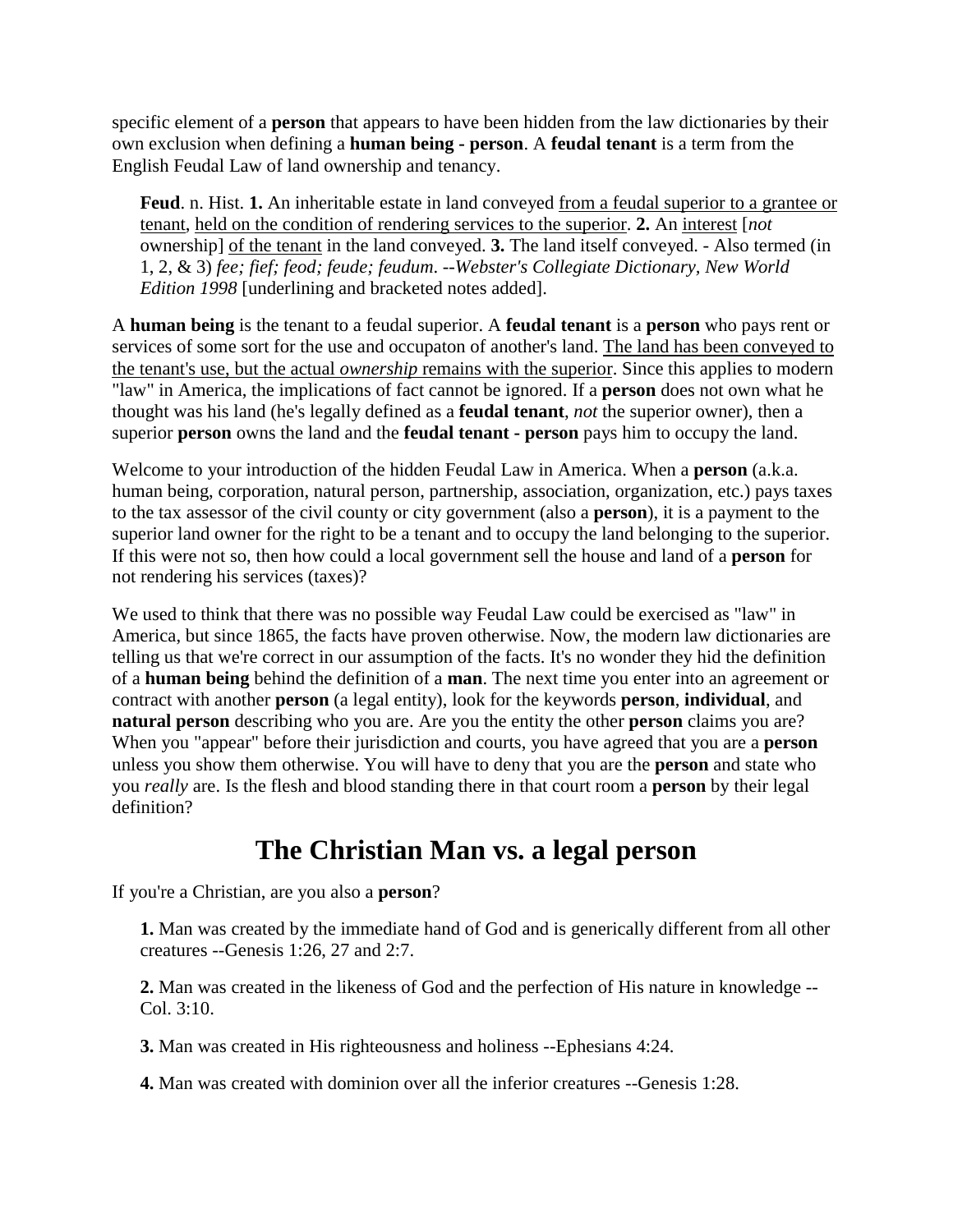specific element of a **person** that appears to have been hidden from the law dictionaries by their own exclusion when defining a **human being - person**. A **feudal tenant** is a term from the English Feudal Law of land ownership and tenancy.

Feud. n. Hist. 1. An inheritable estate in land conveyed <u>from a feudal superior to a grantee or</u> tenant, held on the condition of rendering services to the superior. **2.** An interest [*not* ownership] of the tenant in the land conveyed. **3.** The land itself conveyed. - Also termed (in 1, 2, & 3) *fee; fief; feod; feude; feudum*. --*Webster's Collegiate Dictionary, New World Edition 1998* [underlining and bracketed notes added].

A **human being** is the tenant to a feudal superior. A **feudal tenant** is a **person** who pays rent or services of some sort for the use and occupaton of another's land. The land has been conveyed to the tenant's use, but the actual *ownership* remains with the superior. Since this applies to modern "law" in America, the implications of fact cannot be ignored. If a **person** does not own what he thought was his land (he's legally defined as a **feudal tenant**, *not* the superior owner), then a superior **person** owns the land and the **feudal tenant - person** pays him to occupy the land.

Welcome to your introduction of the hidden Feudal Law in America. When a **person** (a.k.a. human being, corporation, natural person, partnership, association, organization, etc.) pays taxes to the tax assessor of the civil county or city government (also a **person**), it is a payment to the superior land owner for the right to be a tenant and to occupy the land belonging to the superior. If this were not so, then how could a local government sell the house and land of a **person** for not rendering his services (taxes)?

We used to think that there was no possible way Feudal Law could be exercised as "law" in America, but since 1865, the facts have proven otherwise. Now, the modern law dictionaries are telling us that we're correct in our assumption of the facts. It's no wonder they hid the definition of a **human being** behind the definition of a **man**. The next time you enter into an agreement or contract with another **person** (a legal entity), look for the keywords **person**, **individual**, and **natural person** describing who you are. Are you the entity the other **person** claims you are? When you "appear" before their jurisdiction and courts, you have agreed that you are a **person** unless you show them otherwise. You will have to deny that you are the **person** and state who you *really* are. Is the flesh and blood standing there in that court room a **person** by their legal definition?

## **The Christian Man vs. a legal person**

If you're a Christian, are you also a **person**?

**1.** Man was created by the immediate hand of God and is generically different from all other creatures --Genesis 1:26, 27 and 2:7.

**2.** Man was created in the likeness of God and the perfection of His nature in knowledge -- Col. 3:10.

**3.** Man was created in His righteousness and holiness --Ephesians 4:24.

**4.** Man was created with dominion over all the inferior creatures --Genesis 1:28.